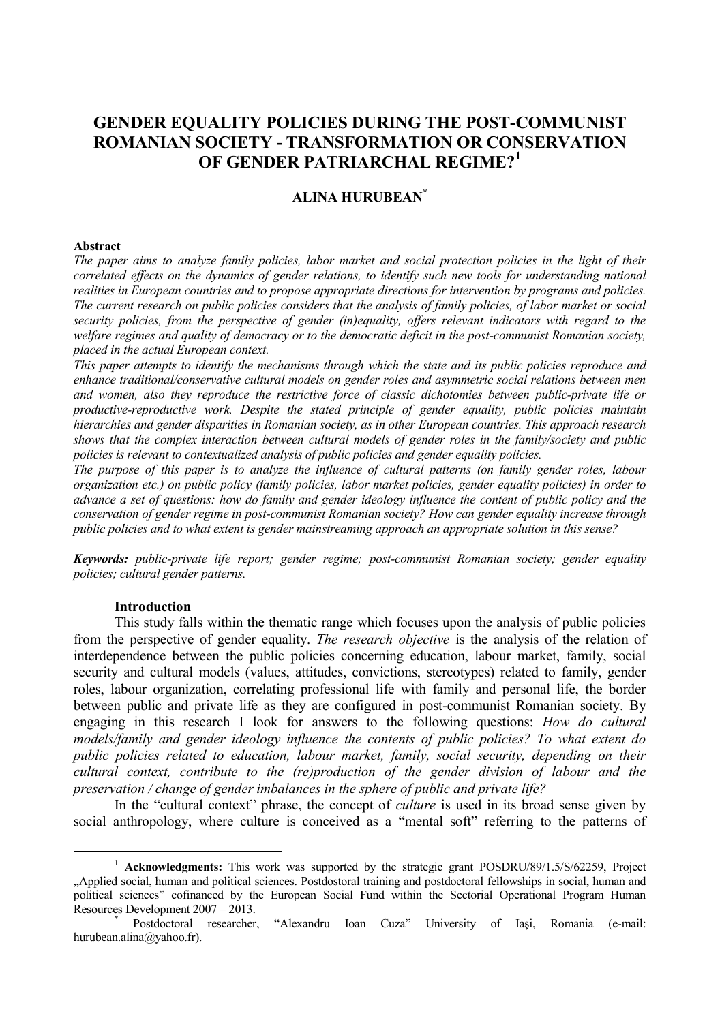# **GENDER EQUALITY POLICIES DURING THE POST-COMMUNIST ROMANIAN SOCIETY - TRANSFORMATION OR CONSERVATION OF GENDER PATRIARCHAL REGIME? 1**

### **ALINA HURUBEAN\***

#### **Abstract**

*The paper aims to analyze family policies, labor market and social protection policies in the light of their correlated effects on the dynamics of gender relations, to identify such new tools for understanding national realities in European countries and to propose appropriate directions for intervention by programs and policies. The current research on public policies considers that the analysis of family policies, of labor market or social security policies, from the perspective of gender (in)equality, offers relevant indicators with regard to the welfare regimes and quality of democracy or to the democratic deficit in the post-communist Romanian society, placed in the actual European context.* 

*This paper attempts to identify the mechanisms through which the state and its public policies reproduce and enhance traditional/conservative cultural models on gender roles and asymmetric social relations between men and women, also they reproduce the restrictive force of classic dichotomies between public-private life or productive-reproductive work. Despite the stated principle of gender equality, public policies maintain hierarchies and gender disparities in Romanian society, as in other European countries. This approach research shows that the complex interaction between cultural models of gender roles in the family/society and public policies is relevant to contextualized analysis of public policies and gender equality policies.*

*The purpose of this paper is to analyze the influence of cultural patterns (on family gender roles, labour organization etc.) on public policy (family policies, labor market policies, gender equality policies) in order to advance a set of questions: how do family and gender ideology influence the content of public policy and the conservation of gender regime in post-communist Romanian society? How can gender equality increase through public policies and to what extent is gender mainstreaming approach an appropriate solution in this sense?*

*Keywords: public-private life report; gender regime; post-communist Romanian society; gender equality policies; cultural gender patterns.*

#### **Introduction**

 $\overline{a}$ 

This study falls within the thematic range which focuses upon the analysis of public policies from the perspective of gender equality. *The research objective* is the analysis of the relation of interdependence between the public policies concerning education, labour market, family, social security and cultural models (values, attitudes, convictions, stereotypes) related to family, gender roles, labour organization, correlating professional life with family and personal life, the border between public and private life as they are configured in post-communist Romanian society. By engaging in this research I look for answers to the following questions: *How do cultural models/family and gender ideology influence the contents of public policies? To what extent do public policies related to education, labour market, family, social security, depending on their cultural context, contribute to the (re)production of the gender division of labour and the preservation / change of gender imbalances in the sphere of public and private life?*

In the "cultural context" phrase, the concept of *culture* is used in its broad sense given by social anthropology, where culture is conceived as a "mental soft" referring to the patterns of

<sup>1</sup> **Acknowledgments:** This work was supported by the strategic grant POSDRU/89/1.5/S/62259, Project "Applied social, human and political sciences. Postdostoral training and postdoctoral fellowships in social, human and political sciences" cofinanced by the European Social Fund within the Sectorial Operational Program Human Resources Development 2007 – 2013.

<sup>\*</sup> Postdoctoral researcher, "Alexandru Ioan Cuza" University of Iaşi, Romania (e-mail: hurubean.alina@yahoo.fr).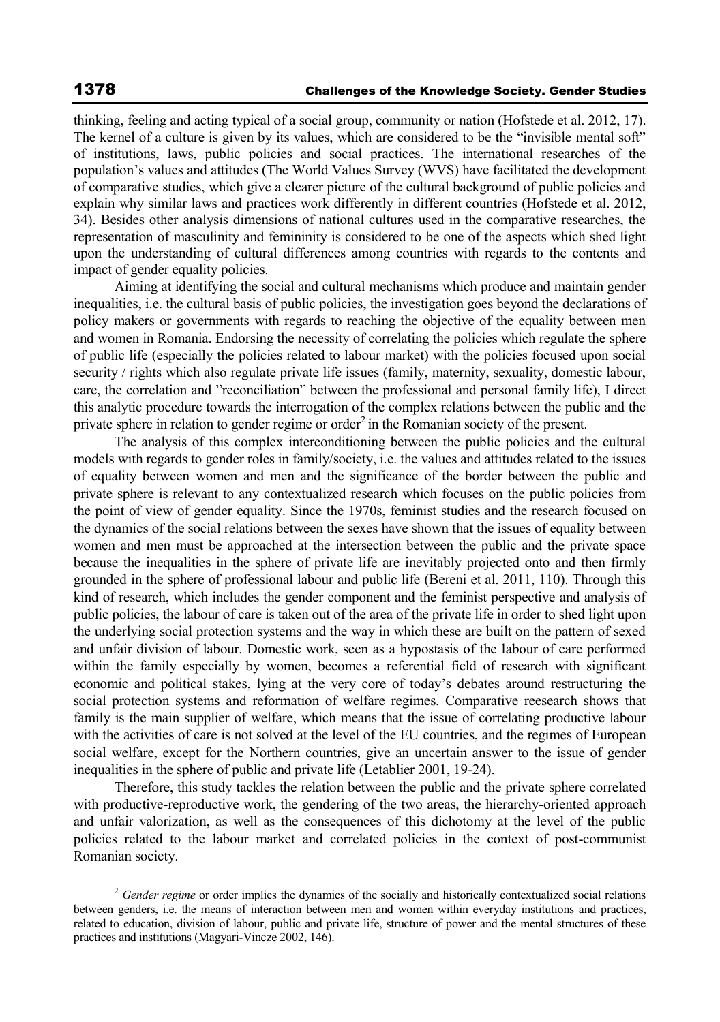$\overline{a}$ 

thinking, feeling and acting typical of a social group, community or nation (Hofstede et al. 2012, 17). The kernel of a culture is given by its values, which are considered to be the "invisible mental soft" of institutions, laws, public policies and social practices. The international researches of the population's values and attitudes (The World Values Survey (WVS) have facilitated the development of comparative studies, which give a clearer picture of the cultural background of public policies and explain why similar laws and practices work differently in different countries (Hofstede et al. 2012, 34). Besides other analysis dimensions of national cultures used in the comparative researches, the representation of masculinity and femininity is considered to be one of the aspects which shed light upon the understanding of cultural differences among countries with regards to the contents and impact of gender equality policies.

Aiming at identifying the social and cultural mechanisms which produce and maintain gender inequalities, i.e. the cultural basis of public policies, the investigation goes beyond the declarations of policy makers or governments with regards to reaching the objective of the equality between men and women in Romania. Endorsing the necessity of correlating the policies which regulate the sphere of public life (especially the policies related to labour market) with the policies focused upon social security / rights which also regulate private life issues (family, maternity, sexuality, domestic labour, care, the correlation and "reconciliation" between the professional and personal family life), I direct this analytic procedure towards the interrogation of the complex relations between the public and the private sphere in relation to gender regime or order<sup>2</sup> in the Romanian society of the present.

The analysis of this complex interconditioning between the public policies and the cultural models with regards to gender roles in family/society, i.e. the values and attitudes related to the issues of equality between women and men and the significance of the border between the public and private sphere is relevant to any contextualized research which focuses on the public policies from the point of view of gender equality. Since the 1970s, feminist studies and the research focused on the dynamics of the social relations between the sexes have shown that the issues of equality between women and men must be approached at the intersection between the public and the private space because the inequalities in the sphere of private life are inevitably projected onto and then firmly grounded in the sphere of professional labour and public life (Bereni et al. 2011, 110). Through this kind of research, which includes the gender component and the feminist perspective and analysis of public policies, the labour of care is taken out of the area of the private life in order to shed light upon the underlying social protection systems and the way in which these are built on the pattern of sexed and unfair division of labour. Domestic work, seen as a hypostasis of the labour of care performed within the family especially by women, becomes a referential field of research with significant economic and political stakes, lying at the very core of today's debates around restructuring the social protection systems and reformation of welfare regimes. Comparative reesearch shows that family is the main supplier of welfare, which means that the issue of correlating productive labour with the activities of care is not solved at the level of the EU countries, and the regimes of European social welfare, except for the Northern countries, give an uncertain answer to the issue of gender inequalities in the sphere of public and private life (Letablier 2001, 19-24).

Therefore, this study tackles the relation between the public and the private sphere correlated with productive-reproductive work, the gendering of the two areas, the hierarchy-oriented approach and unfair valorization, as well as the consequences of this dichotomy at the level of the public policies related to the labour market and correlated policies in the context of post-communist Romanian society.

<sup>&</sup>lt;sup>2</sup> Gender regime or order implies the dynamics of the socially and historically contextualized social relations between genders, i.e. the means of interaction between men and women within everyday institutions and practices, related to education, division of labour, public and private life, structure of power and the mental structures of these practices and institutions (Magyari-Vincze 2002, 146).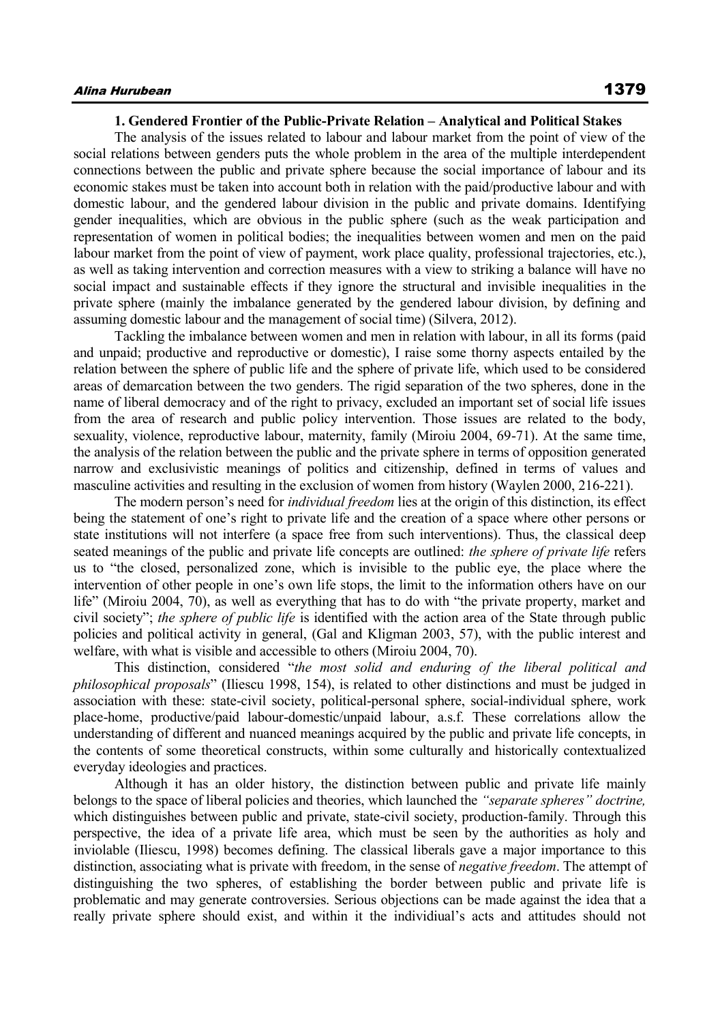#### **1. Gendered Frontier of the Public-Private Relation – Analytical and Political Stakes**

The analysis of the issues related to labour and labour market from the point of view of the social relations between genders puts the whole problem in the area of the multiple interdependent connections between the public and private sphere because the social importance of labour and its economic stakes must be taken into account both in relation with the paid/productive labour and with domestic labour, and the gendered labour division in the public and private domains. Identifying gender inequalities, which are obvious in the public sphere (such as the weak participation and representation of women in political bodies; the inequalities between women and men on the paid labour market from the point of view of payment, work place quality, professional trajectories, etc.), as well as taking intervention and correction measures with a view to striking a balance will have no social impact and sustainable effects if they ignore the structural and invisible inequalities in the private sphere (mainly the imbalance generated by the gendered labour division, by defining and assuming domestic labour and the management of social time) (Silvera, 2012).

Tackling the imbalance between women and men in relation with labour, in all its forms (paid and unpaid; productive and reproductive or domestic), I raise some thorny aspects entailed by the relation between the sphere of public life and the sphere of private life, which used to be considered areas of demarcation between the two genders. The rigid separation of the two spheres, done in the name of liberal democracy and of the right to privacy, excluded an important set of social life issues from the area of research and public policy intervention. Those issues are related to the body, sexuality, violence, reproductive labour, maternity, family (Miroiu 2004, 69-71). At the same time, the analysis of the relation between the public and the private sphere in terms of opposition generated narrow and exclusivistic meanings of politics and citizenship, defined in terms of values and masculine activities and resulting in the exclusion of women from history (Waylen 2000, 216-221).

The modern person's need for *individual freedom* lies at the origin of this distinction, its effect being the statement of one's right to private life and the creation of a space where other persons or state institutions will not interfere (a space free from such interventions). Thus, the classical deep seated meanings of the public and private life concepts are outlined: *the sphere of private life* refers us to "the closed, personalized zone, which is invisible to the public eye, the place where the intervention of other people in one's own life stops, the limit to the information others have on our life" (Miroiu 2004, 70), as well as everything that has to do with "the private property, market and civil society"; *the sphere of public life* is identified with the action area of the State through public policies and political activity in general, (Gal and Kligman 2003, 57), with the public interest and welfare, with what is visible and accessible to others (Miroiu 2004, 70).

This distinction, considered "*the most solid and enduring of the liberal political and philosophical proposals*" (Iliescu 1998, 154), is related to other distinctions and must be judged in association with these: state-civil society, political-personal sphere, social-individual sphere, work place-home, productive/paid labour-domestic/unpaid labour, a.s.f. These correlations allow the understanding of different and nuanced meanings acquired by the public and private life concepts, in the contents of some theoretical constructs, within some culturally and historically contextualized everyday ideologies and practices.

Although it has an older history, the distinction between public and private life mainly belongs to the space of liberal policies and theories, which launched the *"separate spheres" doctrine,*  which distinguishes between public and private, state-civil society, production-family. Through this perspective, the idea of a private life area, which must be seen by the authorities as holy and inviolable (Iliescu, 1998) becomes defining. The classical liberals gave a major importance to this distinction, associating what is private with freedom, in the sense of *negative freedom*. The attempt of distinguishing the two spheres, of establishing the border between public and private life is problematic and may generate controversies. Serious objections can be made against the idea that a really private sphere should exist, and within it the individiual's acts and attitudes should not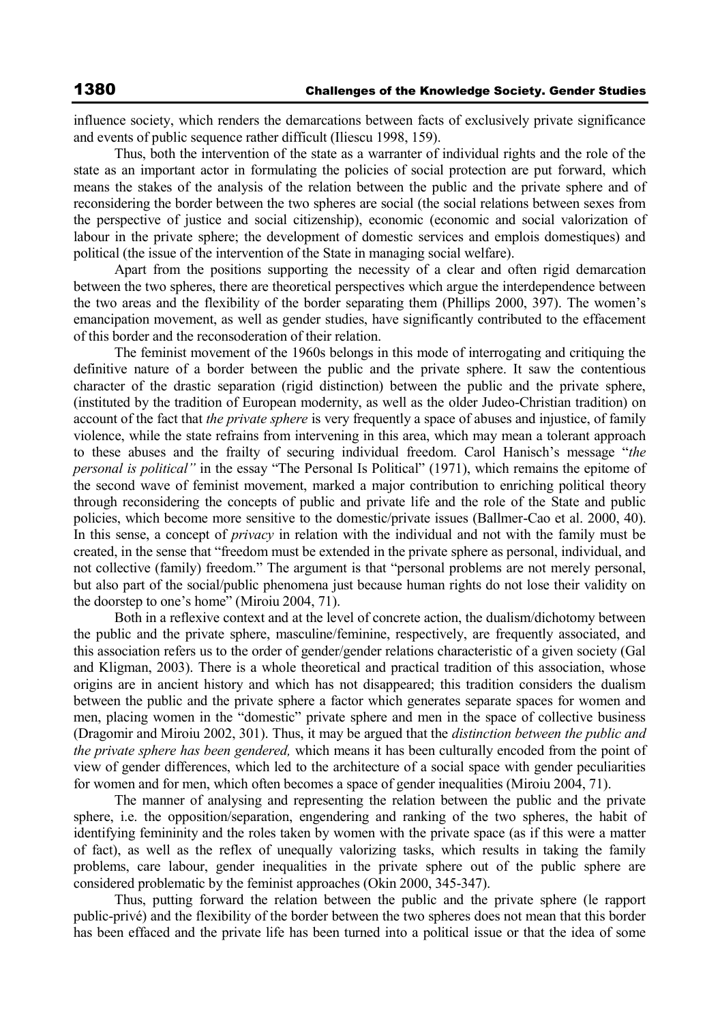influence society, which renders the demarcations between facts of exclusively private significance and events of public sequence rather difficult (Iliescu 1998, 159).

Thus, both the intervention of the state as a warranter of individual rights and the role of the state as an important actor in formulating the policies of social protection are put forward, which means the stakes of the analysis of the relation between the public and the private sphere and of reconsidering the border between the two spheres are social (the social relations between sexes from the perspective of justice and social citizenship), economic (economic and social valorization of labour in the private sphere; the development of domestic services and emplois domestiques) and political (the issue of the intervention of the State in managing social welfare).

Apart from the positions supporting the necessity of a clear and often rigid demarcation between the two spheres, there are theoretical perspectives which argue the interdependence between the two areas and the flexibility of the border separating them (Phillips 2000, 397). The women's emancipation movement, as well as gender studies, have significantly contributed to the effacement of this border and the reconsoderation of their relation.

The feminist movement of the 1960s belongs in this mode of interrogating and critiquing the definitive nature of a border between the public and the private sphere. It saw the contentious character of the drastic separation (rigid distinction) between the public and the private sphere, (instituted by the tradition of European modernity, as well as the older Judeo-Christian tradition) on account of the fact that *the private sphere* is very frequently a space of abuses and injustice, of family violence, while the state refrains from intervening in this area, which may mean a tolerant approach to these abuses and the frailty of securing individual freedom. Carol Hanisch's message "*the personal is political"* in the essay "The Personal Is Political" (1971), which remains the epitome of the second wave of feminist movement, marked a major contribution to enriching political theory through reconsidering the concepts of public and private life and the role of the State and public policies, which become more sensitive to the domestic/private issues (Ballmer-Cao et al. 2000, 40). In this sense, a concept of *privacy* in relation with the individual and not with the family must be created, in the sense that "freedom must be extended in the private sphere as personal, individual, and not collective (family) freedom." The argument is that "personal problems are not merely personal, but also part of the social/public phenomena just because human rights do not lose their validity on the doorstep to one's home" (Miroiu 2004, 71).

Both in a reflexive context and at the level of concrete action, the dualism/dichotomy between the public and the private sphere, masculine/feminine, respectively, are frequently associated, and this association refers us to the order of gender/gender relations characteristic of a given society (Gal and Kligman, 2003). There is a whole theoretical and practical tradition of this association, whose origins are in ancient history and which has not disappeared; this tradition considers the dualism between the public and the private sphere a factor which generates separate spaces for women and men, placing women in the "domestic" private sphere and men in the space of collective business (Dragomir and Miroiu 2002, 301). Thus, it may be argued that the *distinction between the public and the private sphere has been gendered,* which means it has been culturally encoded from the point of view of gender differences, which led to the architecture of a social space with gender peculiarities for women and for men, which often becomes a space of gender inequalities (Miroiu 2004, 71).

The manner of analysing and representing the relation between the public and the private sphere, i.e. the opposition/separation, engendering and ranking of the two spheres, the habit of identifying femininity and the roles taken by women with the private space (as if this were a matter of fact), as well as the reflex of unequally valorizing tasks, which results in taking the family problems, care labour, gender inequalities in the private sphere out of the public sphere are considered problematic by the feminist approaches (Okin 2000, 345-347).

Thus, putting forward the relation between the public and the private sphere (le rapport public-privé) and the flexibility of the border between the two spheres does not mean that this border has been effaced and the private life has been turned into a political issue or that the idea of some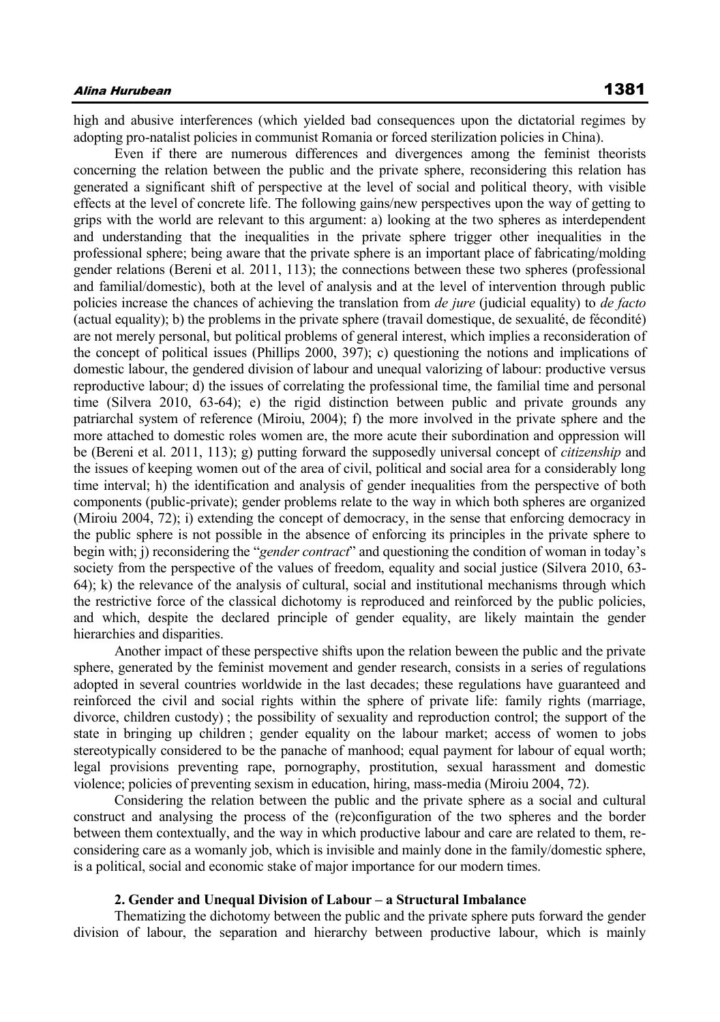high and abusive interferences (which yielded bad consequences upon the dictatorial regimes by adopting pro-natalist policies in communist Romania or forced sterilization policies in China).

Even if there are numerous differences and divergences among the feminist theorists concerning the relation between the public and the private sphere, reconsidering this relation has generated a significant shift of perspective at the level of social and political theory, with visible effects at the level of concrete life. The following gains/new perspectives upon the way of getting to grips with the world are relevant to this argument: a) looking at the two spheres as interdependent and understanding that the inequalities in the private sphere trigger other inequalities in the professional sphere; being aware that the private sphere is an important place of fabricating/molding gender relations (Bereni et al. 2011, 113); the connections between these two spheres (professional and familial/domestic), both at the level of analysis and at the level of intervention through public policies increase the chances of achieving the translation from *de jure* (judicial equality) to *de facto*  (actual equality); b) the problems in the private sphere (travail domestique, de sexualité, de fécondité) are not merely personal, but political problems of general interest, which implies a reconsideration of the concept of political issues (Phillips 2000, 397); c) questioning the notions and implications of domestic labour, the gendered division of labour and unequal valorizing of labour: productive versus reproductive labour; d) the issues of correlating the professional time, the familial time and personal time (Silvera 2010, 63-64); e) the rigid distinction between public and private grounds any patriarchal system of reference (Miroiu, 2004); f) the more involved in the private sphere and the more attached to domestic roles women are, the more acute their subordination and oppression will be (Bereni et al. 2011, 113); g) putting forward the supposedly universal concept of *citizenship* and the issues of keeping women out of the area of civil, political and social area for a considerably long time interval; h) the identification and analysis of gender inequalities from the perspective of both components (public-private); gender problems relate to the way in which both spheres are organized (Miroiu 2004, 72); i) extending the concept of democracy, in the sense that enforcing democracy in the public sphere is not possible in the absence of enforcing its principles in the private sphere to begin with; j) reconsidering the "*gender contract*" and questioning the condition of woman in today's society from the perspective of the values of freedom, equality and social justice (Silvera 2010, 63- 64); k) the relevance of the analysis of cultural, social and institutional mechanisms through which the restrictive force of the classical dichotomy is reproduced and reinforced by the public policies, and which, despite the declared principle of gender equality, are likely maintain the gender hierarchies and disparities.

Another impact of these perspective shifts upon the relation beween the public and the private sphere, generated by the feminist movement and gender research, consists in a series of regulations adopted in several countries worldwide in the last decades; these regulations have guaranteed and reinforced the civil and social rights within the sphere of private life: family rights (marriage, divorce, children custody) ; the possibility of sexuality and reproduction control; the support of the state in bringing up children ; gender equality on the labour market; access of women to jobs stereotypically considered to be the panache of manhood; equal payment for labour of equal worth; legal provisions preventing rape, pornography, prostitution, sexual harassment and domestic violence; policies of preventing sexism in education, hiring, mass-media (Miroiu 2004, 72).

Considering the relation between the public and the private sphere as a social and cultural construct and analysing the process of the (re)configuration of the two spheres and the border between them contextually, and the way in which productive labour and care are related to them, reconsidering care as a womanly job, which is invisible and mainly done in the family/domestic sphere, is a political, social and economic stake of major importance for our modern times.

#### **2. Gender and Unequal Division of Labour – a Structural Imbalance**

Thematizing the dichotomy between the public and the private sphere puts forward the gender division of labour, the separation and hierarchy between productive labour, which is mainly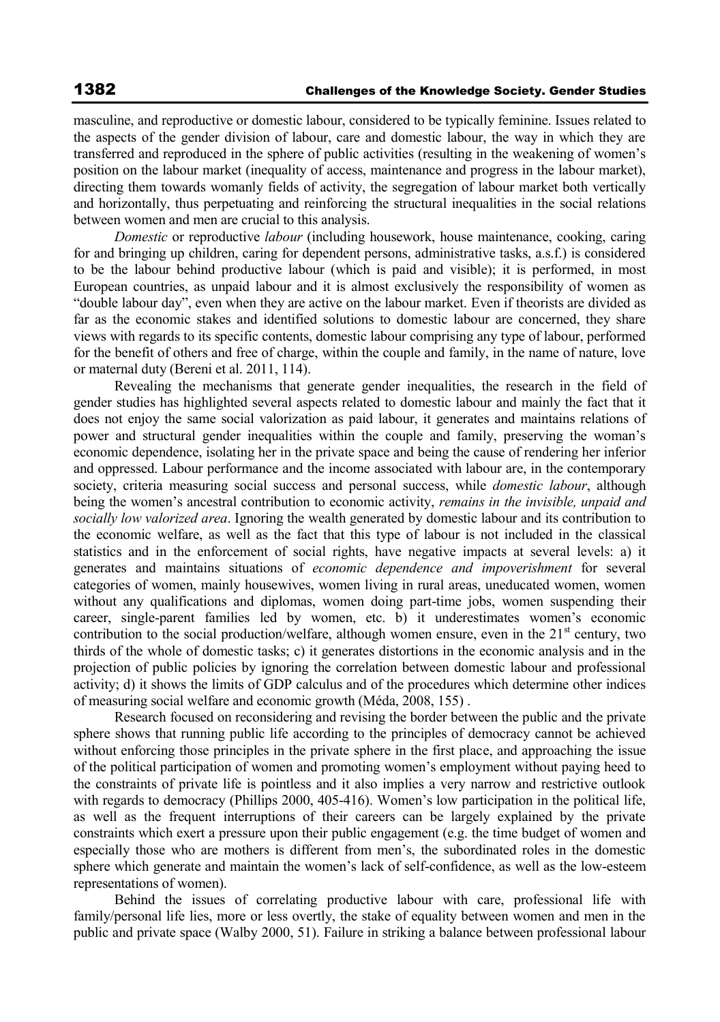masculine, and reproductive or domestic labour, considered to be typically feminine. Issues related to the aspects of the gender division of labour, care and domestic labour, the way in which they are transferred and reproduced in the sphere of public activities (resulting in the weakening of women's position on the labour market (inequality of access, maintenance and progress in the labour market), directing them towards womanly fields of activity, the segregation of labour market both vertically and horizontally, thus perpetuating and reinforcing the structural inequalities in the social relations between women and men are crucial to this analysis.

*Domestic* or reproductive *labour* (including housework, house maintenance, cooking, caring for and bringing up children, caring for dependent persons, administrative tasks, a.s.f.) is considered to be the labour behind productive labour (which is paid and visible); it is performed, in most European countries, as unpaid labour and it is almost exclusively the responsibility of women as "double labour day", even when they are active on the labour market. Even if theorists are divided as far as the economic stakes and identified solutions to domestic labour are concerned, they share views with regards to its specific contents, domestic labour comprising any type of labour, performed for the benefit of others and free of charge, within the couple and family, in the name of nature, love or maternal duty (Bereni et al. 2011, 114).

Revealing the mechanisms that generate gender inequalities, the research in the field of gender studies has highlighted several aspects related to domestic labour and mainly the fact that it does not enjoy the same social valorization as paid labour, it generates and maintains relations of power and structural gender inequalities within the couple and family, preserving the woman's economic dependence, isolating her in the private space and being the cause of rendering her inferior and oppressed. Labour performance and the income associated with labour are, in the contemporary society, criteria measuring social success and personal success, while *domestic labour*, although being the women's ancestral contribution to economic activity, *remains in the invisible, unpaid and socially low valorized area*. Ignoring the wealth generated by domestic labour and its contribution to the economic welfare, as well as the fact that this type of labour is not included in the classical statistics and in the enforcement of social rights, have negative impacts at several levels: a) it generates and maintains situations of *economic dependence and impoverishment* for several categories of women, mainly housewives, women living in rural areas, uneducated women, women without any qualifications and diplomas, women doing part-time jobs, women suspending their career, single-parent families led by women, etc. b) it underestimates women's economic contribution to the social production/welfare, although women ensure, even in the  $21<sup>st</sup>$  century, two thirds of the whole of domestic tasks; c) it generates distortions in the economic analysis and in the projection of public policies by ignoring the correlation between domestic labour and professional activity; d) it shows the limits of GDP calculus and of the procedures which determine other indices of measuring social welfare and economic growth (Méda, 2008, 155) .

Research focused on reconsidering and revising the border between the public and the private sphere shows that running public life according to the principles of democracy cannot be achieved without enforcing those principles in the private sphere in the first place, and approaching the issue of the political participation of women and promoting women's employment without paying heed to the constraints of private life is pointless and it also implies a very narrow and restrictive outlook with regards to democracy (Phillips 2000, 405-416). Women's low participation in the political life, as well as the frequent interruptions of their careers can be largely explained by the private constraints which exert a pressure upon their public engagement (e.g. the time budget of women and especially those who are mothers is different from men's, the subordinated roles in the domestic sphere which generate and maintain the women's lack of self-confidence, as well as the low-esteem representations of women).

Behind the issues of correlating productive labour with care, professional life with family/personal life lies, more or less overtly, the stake of equality between women and men in the public and private space (Walby 2000, 51). Failure in striking a balance between professional labour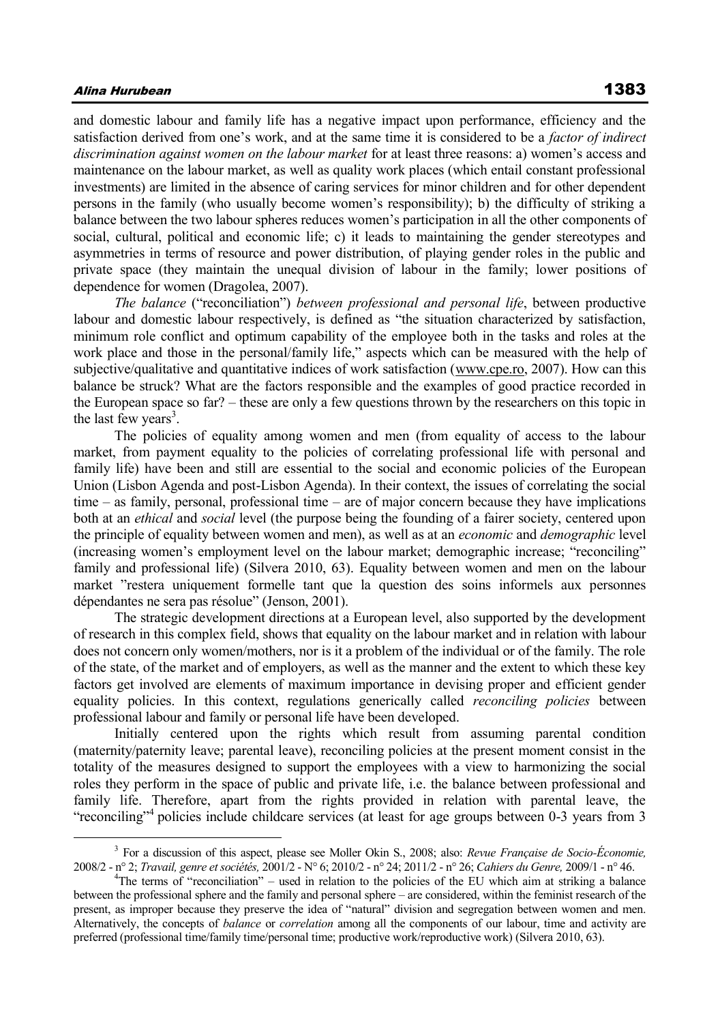### Alina Hurubean 1383

 $\overline{a}$ 

and domestic labour and family life has a negative impact upon performance, efficiency and the satisfaction derived from one's work, and at the same time it is considered to be a *factor of indirect discrimination against women on the labour market* for at least three reasons: a) women's access and maintenance on the labour market, as well as quality work places (which entail constant professional investments) are limited in the absence of caring services for minor children and for other dependent persons in the family (who usually become women's responsibility); b) the difficulty of striking a balance between the two labour spheres reduces women's participation in all the other components of social, cultural, political and economic life; c) it leads to maintaining the gender stereotypes and asymmetries in terms of resource and power distribution, of playing gender roles in the public and private space (they maintain the unequal division of labour in the family; lower positions of dependence for women (Dragolea, 2007).

*The balance* ("reconciliation") *between professional and personal life*, between productive labour and domestic labour respectively, is defined as "the situation characterized by satisfaction, minimum role conflict and optimum capability of the employee both in the tasks and roles at the work place and those in the personal/family life," aspects which can be measured with the help of subjective/qualitative and quantitative indices of work satisfaction (www.cpe.ro, 2007). How can this balance be struck? What are the factors responsible and the examples of good practice recorded in the European space so far? – these are only a few questions thrown by the researchers on this topic in the last few years<sup>3</sup>.

The policies of equality among women and men (from equality of access to the labour market, from payment equality to the policies of correlating professional life with personal and family life) have been and still are essential to the social and economic policies of the European Union (Lisbon Agenda and post-Lisbon Agenda). In their context, the issues of correlating the social time – as family, personal, professional time – are of major concern because they have implications both at an *ethical* and *social* level (the purpose being the founding of a fairer society, centered upon the principle of equality between women and men), as well as at an *economic* and *demographic* level (increasing women's employment level on the labour market; demographic increase; "reconciling" family and professional life) (Silvera 2010, 63). Equality between women and men on the labour market "restera uniquement formelle tant que la question des soins informels aux personnes dépendantes ne sera pas résolue" (Jenson, 2001).

The strategic development directions at a European level, also supported by the development of research in this complex field, shows that equality on the labour market and in relation with labour does not concern only women/mothers, nor is it a problem of the individual or of the family. The role of the state, of the market and of employers, as well as the manner and the extent to which these key factors get involved are elements of maximum importance in devising proper and efficient gender equality policies. In this context, regulations generically called *reconciling policies* between professional labour and family or personal life have been developed.

Initially centered upon the rights which result from assuming parental condition (maternity/paternity leave; parental leave), reconciling policies at the present moment consist in the totality of the measures designed to support the employees with a view to harmonizing the social roles they perform in the space of public and private life, i.e. the balance between professional and family life. Therefore, apart from the rights provided in relation with parental leave, the "reconciling"<sup>4</sup> policies include childcare services (at least for age groups between 0-3 years from 3

<sup>3</sup> For a discussion of this aspect, please see Moller Okin S., 2008; also: *Revue Française de Socio-Économie,*  2008/2 - n° 2; *Travail, genre et sociétés,* 2001/2 - N° 6; 2010/2 - n° 24; 2011/2 - n° 26; *Cahiers du Genre,* 2009/1 - n° 46.

<sup>4</sup> The terms of "reconciliation" – used in relation to the policies of the EU which aim at striking a balance between the professional sphere and the family and personal sphere – are considered, within the feminist research of the present, as improper because they preserve the idea of "natural" division and segregation between women and men. Alternatively, the concepts of *balance* or *correlation* among all the components of our labour, time and activity are preferred (professional time/family time/personal time; productive work/reproductive work) (Silvera 2010, 63).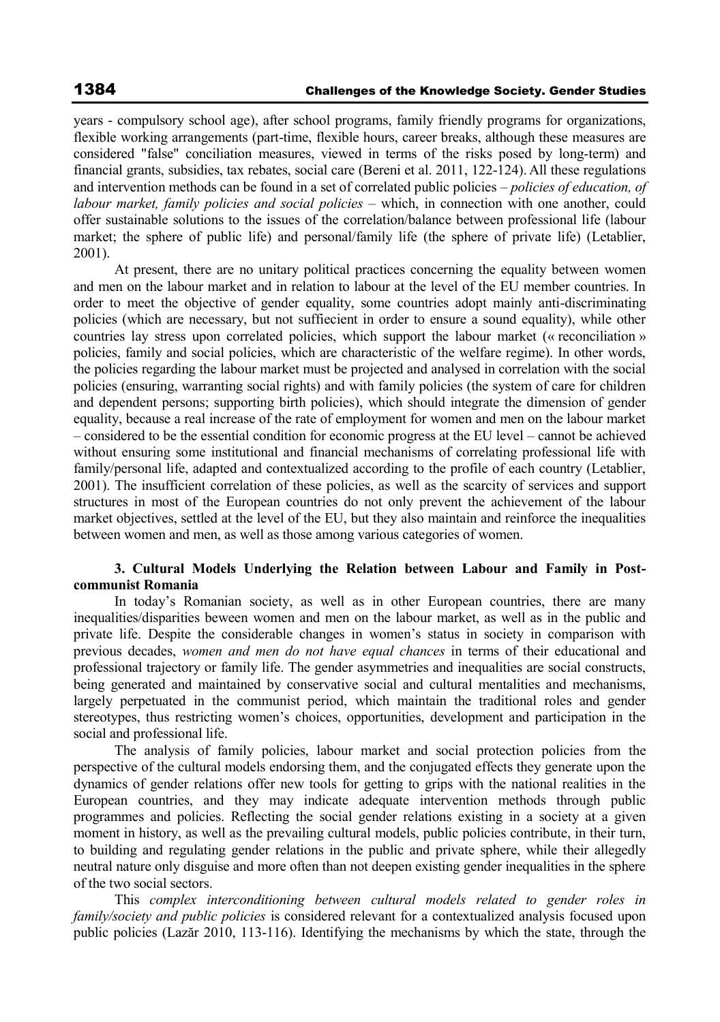years - compulsory school age), after school programs, family friendly programs for organizations, flexible working arrangements (part-time, flexible hours, career breaks, although these measures are considered "false" conciliation measures, viewed in terms of the risks posed by long-term) and financial grants, subsidies, tax rebates, social care (Bereni et al. 2011, 122-124). All these regulations and intervention methods can be found in a set of correlated public policies – *policies of education, of labour market, family policies and social policies –* which, in connection with one another, could offer sustainable solutions to the issues of the correlation/balance between professional life (labour market; the sphere of public life) and personal/family life (the sphere of private life) (Letablier, 2001).

At present, there are no unitary political practices concerning the equality between women and men on the labour market and in relation to labour at the level of the EU member countries. In order to meet the objective of gender equality, some countries adopt mainly anti-discriminating policies (which are necessary, but not suffiecient in order to ensure a sound equality), while other countries lay stress upon correlated policies, which support the labour market (« reconciliation » policies, family and social policies, which are characteristic of the welfare regime). In other words, the policies regarding the labour market must be projected and analysed in correlation with the social policies (ensuring, warranting social rights) and with family policies (the system of care for children and dependent persons; supporting birth policies), which should integrate the dimension of gender equality, because a real increase of the rate of employment for women and men on the labour market – considered to be the essential condition for economic progress at the EU level – cannot be achieved without ensuring some institutional and financial mechanisms of correlating professional life with family/personal life, adapted and contextualized according to the profile of each country (Letablier, 2001). The insufficient correlation of these policies, as well as the scarcity of services and support structures in most of the European countries do not only prevent the achievement of the labour market objectives, settled at the level of the EU, but they also maintain and reinforce the inequalities between women and men, as well as those among various categories of women.

### **3. Cultural Models Underlying the Relation between Labour and Family in Postcommunist Romania**

In today's Romanian society, as well as in other European countries, there are many inequalities/disparities beween women and men on the labour market, as well as in the public and private life. Despite the considerable changes in women's status in society in comparison with previous decades, *women and men do not have equal chances* in terms of their educational and professional trajectory or family life. The gender asymmetries and inequalities are social constructs, being generated and maintained by conservative social and cultural mentalities and mechanisms, largely perpetuated in the communist period, which maintain the traditional roles and gender stereotypes, thus restricting women's choices, opportunities, development and participation in the social and professional life.

The analysis of family policies, labour market and social protection policies from the perspective of the cultural models endorsing them, and the conjugated effects they generate upon the dynamics of gender relations offer new tools for getting to grips with the national realities in the European countries, and they may indicate adequate intervention methods through public programmes and policies. Reflecting the social gender relations existing in a society at a given moment in history, as well as the prevailing cultural models, public policies contribute, in their turn, to building and regulating gender relations in the public and private sphere, while their allegedly neutral nature only disguise and more often than not deepen existing gender inequalities in the sphere of the two social sectors.

This *complex interconditioning between cultural models related to gender roles in family/society and public policies* is considered relevant for a contextualized analysis focused upon public policies (Lazăr 2010, 113-116). Identifying the mechanisms by which the state, through the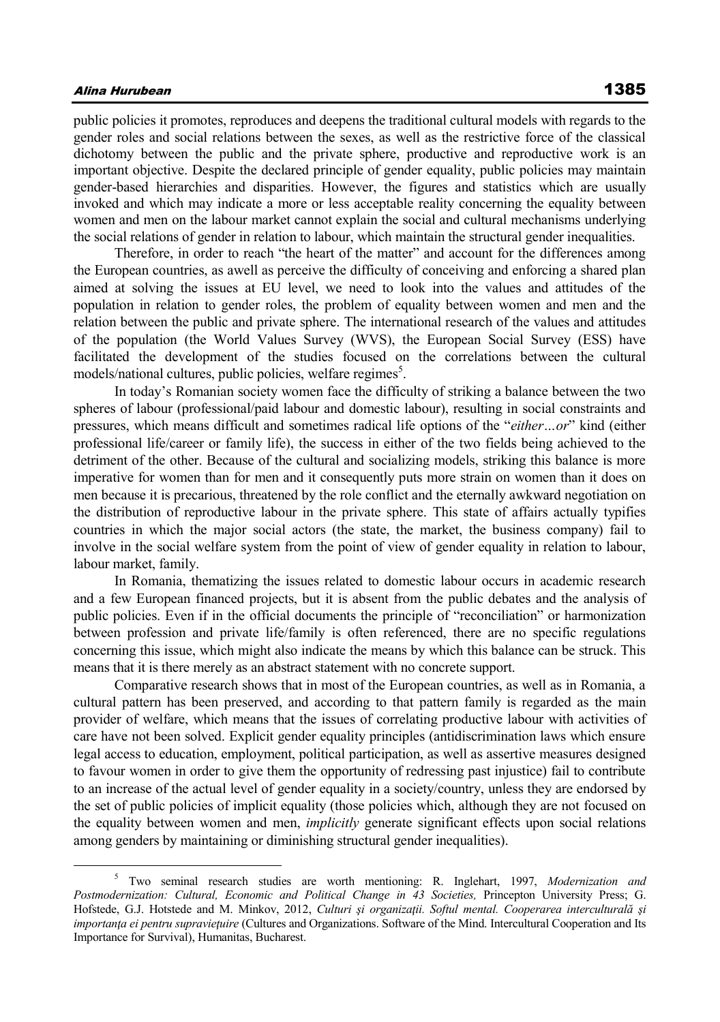### Alina Hurubean 1385

public policies it promotes, reproduces and deepens the traditional cultural models with regards to the gender roles and social relations between the sexes, as well as the restrictive force of the classical dichotomy between the public and the private sphere, productive and reproductive work is an important objective. Despite the declared principle of gender equality, public policies may maintain gender-based hierarchies and disparities. However, the figures and statistics which are usually invoked and which may indicate a more or less acceptable reality concerning the equality between women and men on the labour market cannot explain the social and cultural mechanisms underlying the social relations of gender in relation to labour, which maintain the structural gender inequalities.

Therefore, in order to reach "the heart of the matter" and account for the differences among the European countries, as awell as perceive the difficulty of conceiving and enforcing a shared plan aimed at solving the issues at EU level, we need to look into the values and attitudes of the population in relation to gender roles, the problem of equality between women and men and the relation between the public and private sphere. The international research of the values and attitudes of the population (the World Values Survey (WVS), the European Social Survey (ESS) have facilitated the development of the studies focused on the correlations between the cultural models/national cultures, public policies, welfare regimes<sup>5</sup>.

In today's Romanian society women face the difficulty of striking a balance between the two spheres of labour (professional/paid labour and domestic labour), resulting in social constraints and pressures, which means difficult and sometimes radical life options of the "*either…or*" kind (either professional life/career or family life), the success in either of the two fields being achieved to the detriment of the other. Because of the cultural and socializing models, striking this balance is more imperative for women than for men and it consequently puts more strain on women than it does on men because it is precarious, threatened by the role conflict and the eternally awkward negotiation on the distribution of reproductive labour in the private sphere. This state of affairs actually typifies countries in which the major social actors (the state, the market, the business company) fail to involve in the social welfare system from the point of view of gender equality in relation to labour, labour market, family.

In Romania, thematizing the issues related to domestic labour occurs in academic research and a few European financed projects, but it is absent from the public debates and the analysis of public policies. Even if in the official documents the principle of "reconciliation" or harmonization between profession and private life/family is often referenced, there are no specific regulations concerning this issue, which might also indicate the means by which this balance can be struck. This means that it is there merely as an abstract statement with no concrete support.

Comparative research shows that in most of the European countries, as well as in Romania, a cultural pattern has been preserved, and according to that pattern family is regarded as the main provider of welfare, which means that the issues of correlating productive labour with activities of care have not been solved. Explicit gender equality principles (antidiscrimination laws which ensure legal access to education, employment, political participation, as well as assertive measures designed to favour women in order to give them the opportunity of redressing past injustice) fail to contribute to an increase of the actual level of gender equality in a society/country, unless they are endorsed by the set of public policies of implicit equality (those policies which, although they are not focused on the equality between women and men, *implicitly* generate significant effects upon social relations among genders by maintaining or diminishing structural gender inequalities).

<sup>5</sup> Two seminal research studies are worth mentioning: R. Inglehart, 1997, *Modernization and*  Postmodernization: Cultural, Economic and Political Change in 43 Societies, Princepton University Press; G. Hofstede, G.J. Hotstede and M. Minkov, 2012, *Culturi și organizații. Softul mental. Cooperarea interculturală și importanţa ei pentru supravieţuire* (Cultures and Organizations. Software of the Mind. Intercultural Cooperation and Its Importance for Survival), Humanitas, Bucharest.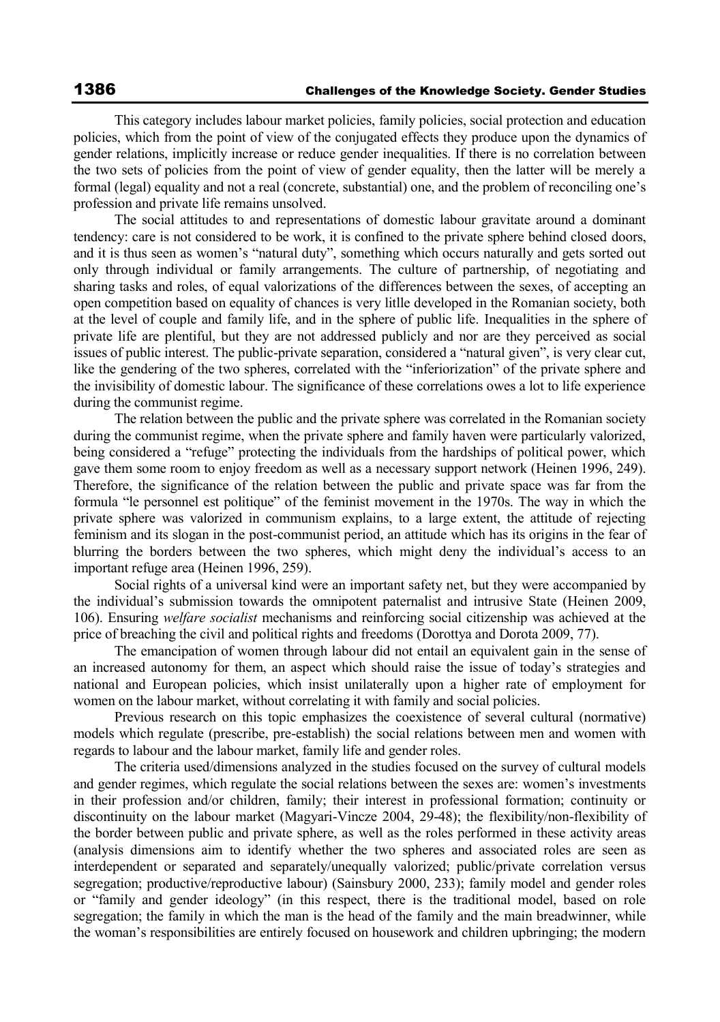This category includes labour market policies, family policies, social protection and education policies, which from the point of view of the conjugated effects they produce upon the dynamics of gender relations, implicitly increase or reduce gender inequalities. If there is no correlation between the two sets of policies from the point of view of gender equality, then the latter will be merely a formal (legal) equality and not a real (concrete, substantial) one, and the problem of reconciling one's profession and private life remains unsolved.

The social attitudes to and representations of domestic labour gravitate around a dominant tendency: care is not considered to be work, it is confined to the private sphere behind closed doors, and it is thus seen as women's "natural duty", something which occurs naturally and gets sorted out only through individual or family arrangements. The culture of partnership, of negotiating and sharing tasks and roles, of equal valorizations of the differences between the sexes, of accepting an open competition based on equality of chances is very litlle developed in the Romanian society, both at the level of couple and family life, and in the sphere of public life. Inequalities in the sphere of private life are plentiful, but they are not addressed publicly and nor are they perceived as social issues of public interest. The public-private separation, considered a "natural given", is very clear cut, like the gendering of the two spheres, correlated with the "inferiorization" of the private sphere and the invisibility of domestic labour. The significance of these correlations owes a lot to life experience during the communist regime.

The relation between the public and the private sphere was correlated in the Romanian society during the communist regime, when the private sphere and family haven were particularly valorized, being considered a "refuge" protecting the individuals from the hardships of political power, which gave them some room to enjoy freedom as well as a necessary support network (Heinen 1996, 249). Therefore, the significance of the relation between the public and private space was far from the formula "le personnel est politique" of the feminist movement in the 1970s. The way in which the private sphere was valorized in communism explains, to a large extent, the attitude of rejecting feminism and its slogan in the post-communist period, an attitude which has its origins in the fear of blurring the borders between the two spheres, which might deny the individual's access to an important refuge area (Heinen 1996, 259).

Social rights of a universal kind were an important safety net, but they were accompanied by the individual's submission towards the omnipotent paternalist and intrusive State (Heinen 2009, 106). Ensuring *welfare socialist* mechanisms and reinforcing social citizenship was achieved at the price of breaching the civil and political rights and freedoms (Dorottya and Dorota 2009, 77).

The emancipation of women through labour did not entail an equivalent gain in the sense of an increased autonomy for them, an aspect which should raise the issue of today's strategies and national and European policies, which insist unilaterally upon a higher rate of employment for women on the labour market, without correlating it with family and social policies.

Previous research on this topic emphasizes the coexistence of several cultural (normative) models which regulate (prescribe, pre-establish) the social relations between men and women with regards to labour and the labour market, family life and gender roles.

The criteria used/dimensions analyzed in the studies focused on the survey of cultural models and gender regimes, which regulate the social relations between the sexes are: women's investments in their profession and/or children, family; their interest in professional formation; continuity or discontinuity on the labour market (Magyari-Vincze 2004, 29-48); the flexibility/non-flexibility of the border between public and private sphere, as well as the roles performed in these activity areas (analysis dimensions aim to identify whether the two spheres and associated roles are seen as interdependent or separated and separately/unequally valorized; public/private correlation versus segregation; productive/reproductive labour) (Sainsbury 2000, 233); family model and gender roles or "family and gender ideology" (in this respect, there is the traditional model, based on role segregation; the family in which the man is the head of the family and the main breadwinner, while the woman's responsibilities are entirely focused on housework and children upbringing; the modern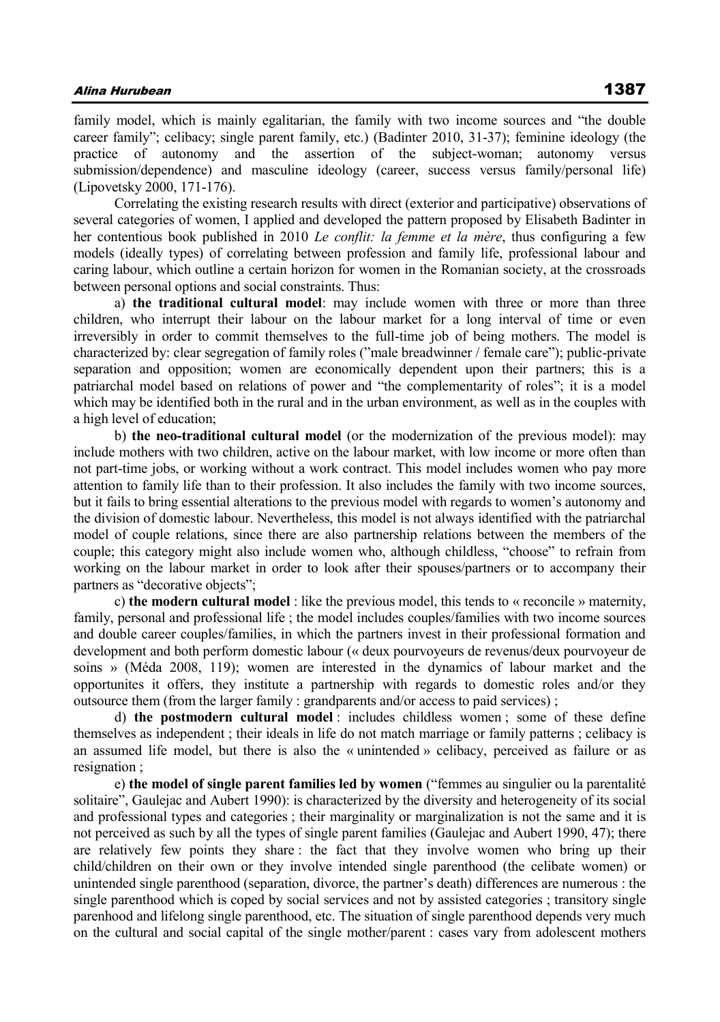family model, which is mainly egalitarian, the family with two income sources and "the double career family"; celibacy; single parent family, etc.) (Badinter 2010, 31-37); feminine ideology (the practice of autonomy and the assertion of the subject-woman; autonomy versus submission/dependence) and masculine ideology (career, success versus family/personal life) (Lipovetsky 2000, 171-176).

Correlating the existing research results with direct (exterior and participative) observations of several categories of women, I applied and developed the pattern proposed by Elisabeth Badinter in her contentious book published in 2010 *Le conflit: la femme et la mère*, thus configuring a few models (ideally types) of correlating between profession and family life, professional labour and caring labour, which outline a certain horizon for women in the Romanian society, at the crossroads between personal options and social constraints. Thus:

a) **the traditional cultural model**: may include women with three or more than three children, who interrupt their labour on the labour market for a long interval of time or even irreversibly in order to commit themselves to the full-time job of being mothers. The model is characterized by: clear segregation of family roles ("male breadwinner / female care"); public-private separation and opposition; women are economically dependent upon their partners; this is a patriarchal model based on relations of power and "the complementarity of roles"; it is a model which may be identified both in the rural and in the urban environment, as well as in the couples with a high level of education;

b) **the neo-traditional cultural model** (or the modernization of the previous model): may include mothers with two children, active on the labour market, with low income or more often than not part-time jobs, or working without a work contract. This model includes women who pay more attention to family life than to their profession. It also includes the family with two income sources, but it fails to bring essential alterations to the previous model with regards to women's autonomy and the division of domestic labour. Nevertheless, this model is not always identified with the patriarchal model of couple relations, since there are also partnership relations between the members of the couple; this category might also include women who, although childless, "choose" to refrain from working on the labour market in order to look after their spouses/partners or to accompany their partners as "decorative objects";

c) **the modern cultural model** : like the previous model, this tends to « reconcile » maternity, family, personal and professional life ; the model includes couples/families with two income sources and double career couples/families, in which the partners invest in their professional formation and development and both perform domestic labour (« deux pourvoyeurs de revenus/deux pourvoyeur de soins » (Méda 2008, 119); women are interested in the dynamics of labour market and the opportunites it offers, they institute a partnership with regards to domestic roles and/or they outsource them (from the larger family : grandparents and/or access to paid services) ;

d) **the postmodern cultural model** : includes childless women ; some of these define themselves as independent ; their ideals in life do not match marriage or family patterns ; celibacy is an assumed life model, but there is also the « unintended » celibacy, perceived as failure or as resignation ;

e) **the model of single parent families led by women** ("femmes au singulier ou la parentalité solitaire", Gaulejac and Aubert 1990): is characterized by the diversity and heterogeneity of its social and professional types and categories ; their marginality or marginalization is not the same and it is not perceived as such by all the types of single parent families (Gaulejac and Aubert 1990, 47); there are relatively few points they share : the fact that they involve women who bring up their child/children on their own or they involve intended single parenthood (the celibate women) or unintended single parenthood (separation, divorce, the partner's death) differences are numerous : the single parenthood which is coped by social services and not by assisted categories ; transitory single parenhood and lifelong single parenthood, etc. The situation of single parenthood depends very much on the cultural and social capital of the single mother/parent : cases vary from adolescent mothers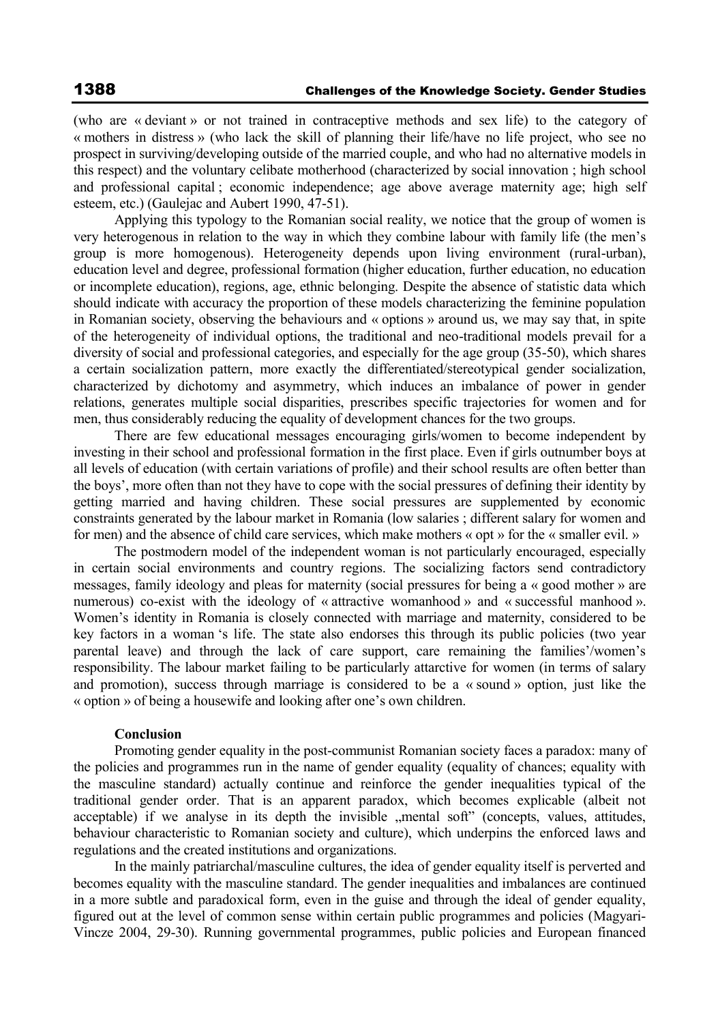(who are « deviant » or not trained in contraceptive methods and sex life) to the category of « mothers in distress » (who lack the skill of planning their life/have no life project, who see no prospect in surviving/developing outside of the married couple, and who had no alternative models in this respect) and the voluntary celibate motherhood (characterized by social innovation ; high school and professional capital ; economic independence; age above average maternity age; high self esteem, etc.) (Gaulejac and Aubert 1990, 47-51).

Applying this typology to the Romanian social reality, we notice that the group of women is very heterogenous in relation to the way in which they combine labour with family life (the men's group is more homogenous). Heterogeneity depends upon living environment (rural-urban), education level and degree, professional formation (higher education, further education, no education or incomplete education), regions, age, ethnic belonging. Despite the absence of statistic data which should indicate with accuracy the proportion of these models characterizing the feminine population in Romanian society, observing the behaviours and « options » around us, we may say that, in spite of the heterogeneity of individual options, the traditional and neo-traditional models prevail for a diversity of social and professional categories, and especially for the age group (35-50), which shares a certain socialization pattern, more exactly the differentiated/stereotypical gender socialization, characterized by dichotomy and asymmetry, which induces an imbalance of power in gender relations, generates multiple social disparities, prescribes specific trajectories for women and for men, thus considerably reducing the equality of development chances for the two groups.

There are few educational messages encouraging girls/women to become independent by investing in their school and professional formation in the first place. Even if girls outnumber boys at all levels of education (with certain variations of profile) and their school results are often better than the boys', more often than not they have to cope with the social pressures of defining their identity by getting married and having children. These social pressures are supplemented by economic constraints generated by the labour market in Romania (low salaries ; different salary for women and for men) and the absence of child care services, which make mothers « opt » for the « smaller evil. »

The postmodern model of the independent woman is not particularly encouraged, especially in certain social environments and country regions. The socializing factors send contradictory messages, family ideology and pleas for maternity (social pressures for being a « good mother » are numerous) co-exist with the ideology of « attractive womanhood » and « successful manhood ». Women's identity in Romania is closely connected with marriage and maternity, considered to be key factors in a woman 's life. The state also endorses this through its public policies (two year parental leave) and through the lack of care support, care remaining the families'/women's responsibility. The labour market failing to be particularly attarctive for women (in terms of salary and promotion), success through marriage is considered to be a « sound » option, just like the « option » of being a housewife and looking after one's own children.

#### **Conclusion**

Promoting gender equality in the post-communist Romanian society faces a paradox: many of the policies and programmes run in the name of gender equality (equality of chances; equality with the masculine standard) actually continue and reinforce the gender inequalities typical of the traditional gender order. That is an apparent paradox, which becomes explicable (albeit not acceptable) if we analyse in its depth the invisible "mental soft" (concepts, values, attitudes, behaviour characteristic to Romanian society and culture), which underpins the enforced laws and regulations and the created institutions and organizations.

In the mainly patriarchal/masculine cultures, the idea of gender equality itself is perverted and becomes equality with the masculine standard. The gender inequalities and imbalances are continued in a more subtle and paradoxical form, even in the guise and through the ideal of gender equality, figured out at the level of common sense within certain public programmes and policies (Magyari-Vincze 2004, 29-30). Running governmental programmes, public policies and European financed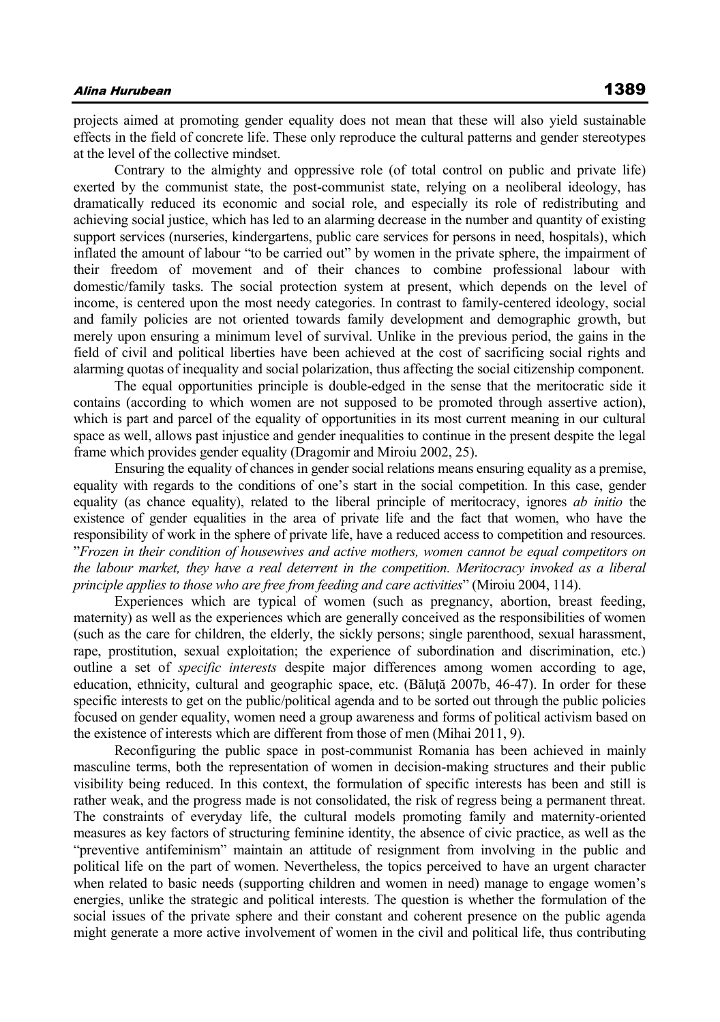projects aimed at promoting gender equality does not mean that these will also yield sustainable effects in the field of concrete life. These only reproduce the cultural patterns and gender stereotypes at the level of the collective mindset.

Contrary to the almighty and oppressive role (of total control on public and private life) exerted by the communist state, the post-communist state, relying on a neoliberal ideology, has dramatically reduced its economic and social role, and especially its role of redistributing and achieving social justice, which has led to an alarming decrease in the number and quantity of existing support services (nurseries, kindergartens, public care services for persons in need, hospitals), which inflated the amount of labour "to be carried out" by women in the private sphere, the impairment of their freedom of movement and of their chances to combine professional labour with domestic/family tasks. The social protection system at present, which depends on the level of income, is centered upon the most needy categories. In contrast to family-centered ideology, social and family policies are not oriented towards family development and demographic growth, but merely upon ensuring a minimum level of survival. Unlike in the previous period, the gains in the field of civil and political liberties have been achieved at the cost of sacrificing social rights and alarming quotas of inequality and social polarization, thus affecting the social citizenship component.

The equal opportunities principle is double-edged in the sense that the meritocratic side it contains (according to which women are not supposed to be promoted through assertive action), which is part and parcel of the equality of opportunities in its most current meaning in our cultural space as well, allows past injustice and gender inequalities to continue in the present despite the legal frame which provides gender equality (Dragomir and Miroiu 2002, 25).

Ensuring the equality of chances in gender social relations means ensuring equality as a premise, equality with regards to the conditions of one's start in the social competition. In this case, gender equality (as chance equality), related to the liberal principle of meritocracy, ignores *ab initio* the existence of gender equalities in the area of private life and the fact that women, who have the responsibility of work in the sphere of private life, have a reduced access to competition and resources. "*Frozen in their condition of housewives and active mothers, women cannot be equal competitors on the labour market, they have a real deterrent in the competition. Meritocracy invoked as a liberal principle applies to those who are free from feeding and care activities*" (Miroiu 2004, 114).

Experiences which are typical of women (such as pregnancy, abortion, breast feeding, maternity) as well as the experiences which are generally conceived as the responsibilities of women (such as the care for children, the elderly, the sickly persons; single parenthood, sexual harassment, rape, prostitution, sexual exploitation; the experience of subordination and discrimination, etc.) outline a set of *specific interests* despite major differences among women according to age, education, ethnicity, cultural and geographic space, etc. (Băluţă 2007b, 46-47). In order for these specific interests to get on the public/political agenda and to be sorted out through the public policies focused on gender equality, women need a group awareness and forms of political activism based on the existence of interests which are different from those of men (Mihai 2011, 9).

Reconfiguring the public space in post-communist Romania has been achieved in mainly masculine terms, both the representation of women in decision-making structures and their public visibility being reduced. In this context, the formulation of specific interests has been and still is rather weak, and the progress made is not consolidated, the risk of regress being a permanent threat. The constraints of everyday life, the cultural models promoting family and maternity-oriented measures as key factors of structuring feminine identity, the absence of civic practice, as well as the "preventive antifeminism" maintain an attitude of resignment from involving in the public and political life on the part of women. Nevertheless, the topics perceived to have an urgent character when related to basic needs (supporting children and women in need) manage to engage women's energies, unlike the strategic and political interests. The question is whether the formulation of the social issues of the private sphere and their constant and coherent presence on the public agenda might generate a more active involvement of women in the civil and political life, thus contributing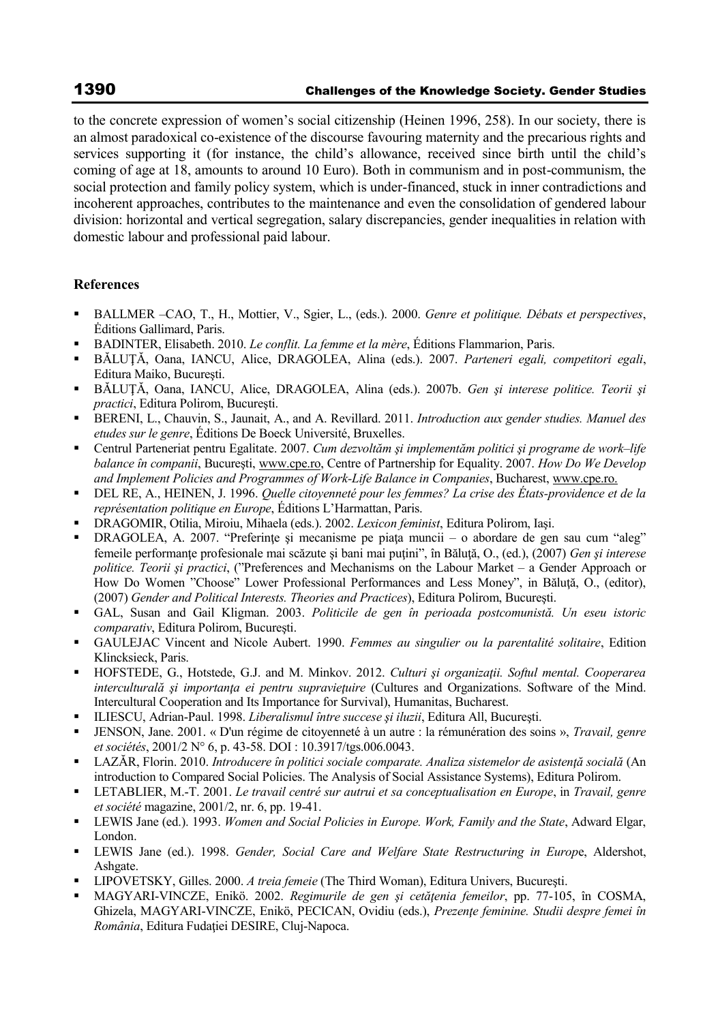to the concrete expression of women's social citizenship (Heinen 1996, 258). In our society, there is an almost paradoxical co-existence of the discourse favouring maternity and the precarious rights and services supporting it (for instance, the child's allowance, received since birth until the child's coming of age at 18, amounts to around 10 Euro). Both in communism and in post-communism, the social protection and family policy system, which is under-financed, stuck in inner contradictions and incoherent approaches, contributes to the maintenance and even the consolidation of gendered labour division: horizontal and vertical segregation, salary discrepancies, gender inequalities in relation with domestic labour and professional paid labour.

## **References**

- BALLMER –CAO, T., H., Mottier, V., Sgier, L., (eds.). 2000. *Genre et politique. Débats et perspectives*, Ėditions Gallimard, Paris.
- BADINTER, Elisabeth. 2010. *Le conflit. La femme et la mère*, Éditions Flammarion, Paris.
- BĂLUŢĂ, Oana, IANCU, Alice, DRAGOLEA, Alina (eds.). 2007. *Parteneri egali, competitori egali*, Editura Maiko, Bucureşti.
- BĂLUŢĂ, Oana, IANCU, Alice, DRAGOLEA, Alina (eds.). 2007b. *Gen şi interese politice. Teorii şi practici*, Editura Polirom, Bucureşti.
- BERENI, L., Chauvin, S., Jaunait, A., and A. Revillard. 2011. *Introduction aux gender studies. Manuel des etudes sur le genre*, Éditions De Boeck Université, Bruxelles.
- Centrul Parteneriat pentru Egalitate. 2007. *Cum dezvoltăm şi implementăm politici şi programe de work–life balance în companii*, Bucureşti, www.cpe.ro, Centre of Partnership for Equality. 2007. *How Do We Develop and Implement Policies and Programmes of Work-Life Balance in Companies*, Bucharest, www.cpe.ro.
- DEL RE, A., HEINEN, J. 1996. *Quelle citoyenneté pour les femmes? La crise des États-providence et de la représentation politique en Europe*, Éditions L'Harmattan, Paris.
- DRAGOMIR, Otilia, Miroiu, Mihaela (eds.). 2002. *Lexicon feminist*, Editura Polirom, Iaşi.
- DRAGOLEA, A. 2007. "Preferințe și mecanisme pe piața muncii o abordare de gen sau cum "aleg" femeile performanţe profesionale mai scăzute şi bani mai puţini", în Băluţă, O., (ed.), (2007) *Gen şi interese politice. Teorii şi practici*, ("Preferences and Mechanisms on the Labour Market – a Gender Approach or How Do Women "Choose" Lower Professional Performances and Less Money", in Bălută, O., (editor), (2007) *Gender and Political Interests. Theories and Practices*), Editura Polirom, Bucureşti.
- GAL, Susan and Gail Kligman. 2003. *Politicile de gen în perioada postcomunistă. Un eseu istoric comparativ*, Editura Polirom, Bucureşti.
- GAULEJAC Vincent and Nicole Aubert. 1990. *Femmes au singulier ou la parentalité solitaire*, Edition Klincksieck, Paris.
- HOFSTEDE, G., Hotstede, G.J. and M. Minkov. 2012. *Culturi şi organizaţii. Softul mental. Cooperarea interculturală și importanța ei pentru supraviețuire* (Cultures and Organizations. Software of the Mind. Intercultural Cooperation and Its Importance for Survival), Humanitas, Bucharest.
- ILIESCU, Adrian-Paul. 1998. *Liberalismul între succese şi iluzii*, Editura All, Bucureşti.
- JENSON, Jane. 2001. « D'un régime de citoyenneté à un autre : la rémunération des soins », *Travail, genre et sociétés*, 2001/2 N° 6, p. 43-58. DOI : 10.3917/tgs.006.0043.
- LAZĂR, Florin. 2010. *Introducere în politici sociale comparate. Analiza sistemelor de asistenţă socială* (An introduction to Compared Social Policies. The Analysis of Social Assistance Systems), Editura Polirom.
- LETABLIER, M.-T. 2001. *Le travail centré sur autrui et sa conceptualisation en Europe*, in *Travail, genre et société* magazine, 2001/2, nr. 6, pp. 19-41.
- LEWIS Jane (ed.). 1993. *Women and Social Policies in Europe. Work, Family and the State*, Adward Elgar, London.
- LEWIS Jane (ed.). 1998. *Gender, Social Care and Welfare State Restructuring in Europ*e, Aldershot, Ashgate.
- LIPOVETSKY, Gilles. 2000. *A treia femeie* (The Third Woman), Editura Univers, Bucureşti.
- MAGYARI-VINCZE, Enikö. 2002. *Regimurile de gen şi cetăţenia femeilor*, pp. 77-105, în COSMA, Ghizela, MAGYARI-VINCZE, Enikö, PECICAN, Ovidiu (eds.), *Prezenţe feminine. Studii despre femei în România*, Editura Fudaţiei DESIRE, Cluj-Napoca.